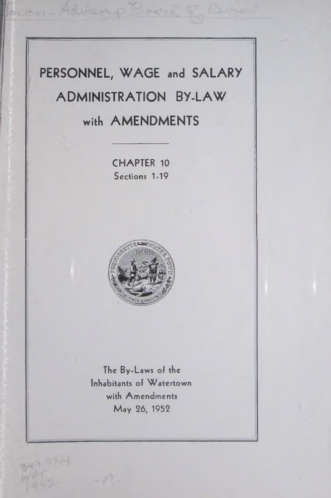# **PERSONNEL, WAGE and SALARY ADMINISTRATION BY-LAW with AMENDMENTS**

**CHAPTER 10 Sections 1-19**



**The By-Laws of the Inhabitants of Watertown with Amendments May 26, 1952**

 $2,11 - 7$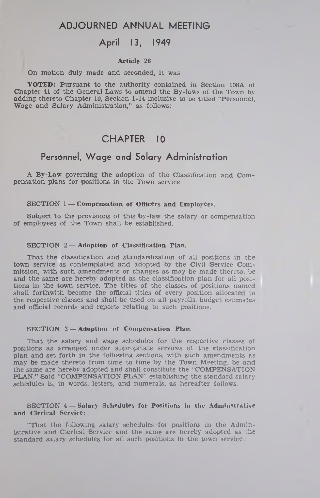# **ADJOURNED ANNUAL MEETING**

# **April 13, 1949**

## **Article 26**

#### On motion duly made and seconded, it was

VOTED: Pursuant to the authority contained in Section 108A of Chapter 41 of the General Laws to amend the By-laws of the Town by adding thereto Chapter 10, Section 1-14 inclusive to be titled "Personnel, Wage and Salary Administration," as follows:

# **CHAPTER 10**

# **Personnel, Wage and Salary Administration**

A By-Law governing the adoption of the Classification and Compensation plans for positions in the Town service.

#### **SECTION 1 — Compensation of Officers and Employees.**

Subject to the provisions of this by-law the salary or compensation of employees of the Town shall be established.

#### SECTION 2 **— Adoption of Classification Plan.**

That the classification and standardization of all positions in the town service as contemplated and adopted by the Civil Service Commission, with such amendments or changes as may be made thereto, be and the same are hereby adopted as the classification plan for all positions in the town service. The titles of the classes of positions named shall forthwith become the official titles of every position allocated to the respective classes and shall be used on all payrolls, budget estimates and official records and reports relating to such positions.

# **SECTION 3 — Adoption of Compensation Plan.**

That the salary and wage schedules for the respective classes of positions as arranged under appropriate services of the classification plan and set forth in the following sections, with such amendments as may be made thereto from time to time by the Town Meeting, be and the same are hereby adopted and shall constitute the "COMPENSATION PLAN." Said "COMPENSATION PLAN" establishing the standard salary schedules is, in words, letters, and numerals, as hereafter follows.

## **SECTION 4 — Salary Schedules for Positions in the Adminstrative and Clerical Service:**

"That the following salary schedules for positions in the Administrative and Clerical Service and the same are hereby adopted as the standard salary schedules for all such positions in the town service: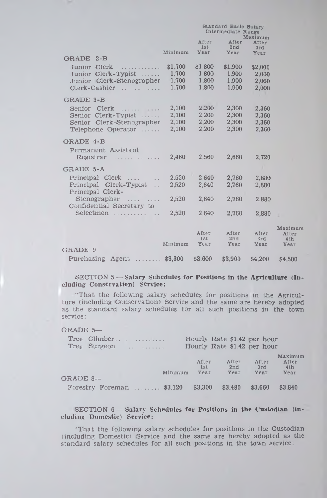|                                                                                                                                                                    | Standard Basic Salary<br>Intermediate Range |                                    |                                    |                                    |                                           |
|--------------------------------------------------------------------------------------------------------------------------------------------------------------------|---------------------------------------------|------------------------------------|------------------------------------|------------------------------------|-------------------------------------------|
|                                                                                                                                                                    | Minimum                                     | After<br>1st<br>Year               | After<br>2nd<br>Year               | Maximum<br>After<br>3rd<br>Year    |                                           |
| GRADE 2-B<br>Junior Clerk<br>.<br>Junior Clerk-Typist<br>Junior Clerk-Stenographer<br>Clerk-Cashier                                                                | \$1,700<br>1.700<br>1,700<br>1,700          | \$1,800<br>1,800<br>1,800<br>1,800 | \$1,900<br>1.900<br>1,900<br>1,900 | \$2,000<br>2,000<br>2,000<br>2.000 |                                           |
| <b>GRADE 3-B</b><br>Senior Clerk<br>Senior Clerk-Typist<br>Senior Clerk-Stenographer<br>Telephone Operator                                                         | 2,100<br>2,100<br>2,100<br>2,100            | 2,200<br>2,200<br>2,200<br>2,200   | 2,300<br>2,300<br>2.300<br>2,300   | 2,360<br>2,360<br>2.360<br>2.360   |                                           |
| GRADE 4-B<br>Permanent Assistant<br>Registrar<br>.                                                                                                                 | 2.460                                       | 2.560                              | 2.660                              | 2,720                              |                                           |
| GRADE 5-A<br>Principal Clerk<br>$\sim$<br>Principal Clerk-Typist<br>$\mathbb{R}^2$<br>Principal Clerk-<br>$Stenographer$<br>Confidential Secretary to<br>Selectmen | 2,520<br>2,520<br>2,520<br>2,520            | 2.640<br>2,640<br>2,640<br>2,640   | 2.760<br>2,760<br>2,760<br>2.760   | 2.880<br>2,880<br>2,880<br>2,880   |                                           |
| GRADE 9<br>Purchasing Agent $\dots \dots$ \$3,300                                                                                                                  | Minimum                                     | After<br>1st<br>Year<br>\$3,600    | After<br>2nd<br>Year<br>\$3,900    | After<br>3rd<br>Year<br>\$4,200    | Maximu<br>After<br>4th<br>Year<br>\$4,500 |
|                                                                                                                                                                    |                                             |                                    |                                    |                                    |                                           |

# SECTION 5 — **Salary Schedules for Positions in the Agriculture (Including Conservation) Service:**

 $m$ 

"That the following salary schedules for positions in the Agriculture (including Conservation) Service and the same are hereby adopted as the standard salary schedules for all such positions in the town service:

## GRADE 5—

|          | Tree Climber<br>$Tree$ Surgeon              |                                 | Hourly Rate \$1.42 per hour<br>Hourly Rate \$1.42 per hour |                      |                                 |
|----------|---------------------------------------------|---------------------------------|------------------------------------------------------------|----------------------|---------------------------------|
| GRADE 8- |                                             | After<br>1st<br>Minimum<br>Year | After<br>2nd<br>Year                                       | After<br>3rd<br>Year | Maximum<br>After<br>4th<br>Year |
|          | Forestry Foreman $$3,120$ $$3,300$ $$3,480$ |                                 |                                                            | \$3,660              | \$3,840                         |

# SECTION 6 — **Salary Schedules for Positions in the Custodian (including Domestic) Service:**

"That the following salary schedules for positions in the Custodian (including Domestic) Service and the same are hereby adopted as the standard salary schedules for all such positions in the town service: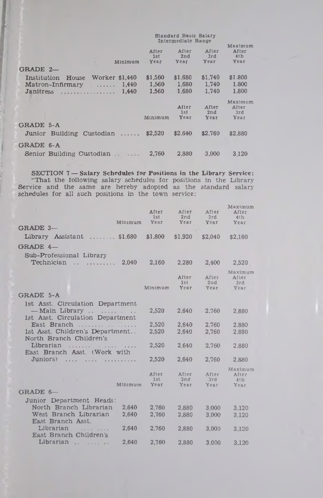|                                          | Intermediate Range   |                             |                      |                                 |
|------------------------------------------|----------------------|-----------------------------|----------------------|---------------------------------|
| Minimum<br>GRADE 2-                      | After<br>1st<br>Year | After<br>2nd<br><b>Year</b> | After<br>3rd<br>Year | Maximum<br>After<br>4th<br>Year |
|                                          |                      |                             |                      |                                 |
| Worker \$1,440<br>Institution<br>House   | \$1,560              | \$1,680                     | \$1,740              | \$1.800                         |
| 1.440<br>$\text{Matron-Infirmary} \dots$ | 1,560                | 1.680                       | 1.740                | 1.800                           |
| 1.440<br>Janitress                       | 1.560                | 1.680                       | 1.740                | 1.800                           |
|                                          | Minimum              | After<br>1st<br>Year        | After<br>2nd<br>Year | Maximum<br>After<br>3rd<br>Year |
|                                          |                      |                             |                      |                                 |
| GRADE 5-A<br>Junior Building Custodian   | \$2,520              | \$2.640                     | \$2.760              | \$2.880                         |
| GRADE 6-A                                |                      |                             |                      |                                 |
| Senior Building Custodian                | 2.760                | 2.880                       | 3.000                | 3.120                           |

Standard Basic Salary

**SECTION 7 — Salary Schedules for Positions in the Library Service:** "That the following salary schedules for positions in the Library Service and the same are hereby adopted as the standard salary schedules for all such positions in the town service:

| After<br>1st | After<br>2nd                                                                  | After<br>3rd                             | Maximum<br>After<br>4 <sub>th</sub><br>Year |
|--------------|-------------------------------------------------------------------------------|------------------------------------------|---------------------------------------------|
|              |                                                                               |                                          |                                             |
| \$1,800      | \$1.920                                                                       | \$2,040                                  | \$2,160                                     |
|              |                                                                               |                                          |                                             |
|              |                                                                               |                                          |                                             |
|              |                                                                               | 2,400                                    | 2,520                                       |
| Minimum      | After<br>1st<br><b>Year</b>                                                   | After<br>2nd<br>Year                     | Maximum<br>After<br>3rd<br>Year             |
|              |                                                                               |                                          |                                             |
|              |                                                                               |                                          |                                             |
|              |                                                                               |                                          | 2,880                                       |
| 2,520        | 2,640                                                                         | 2,760                                    | 2.880                                       |
| 2.520        | 2,640                                                                         | 2.760                                    | 2.880                                       |
|              |                                                                               |                                          | 2.880                                       |
|              |                                                                               |                                          |                                             |
| 2,520        | 2,640                                                                         | 2,760                                    | 2,880                                       |
| After<br>1st | After<br>2nd                                                                  | After<br>3rd                             | Maximum<br>After<br>4th                     |
|              | Year                                                                          | Year                                     | Year                                        |
|              |                                                                               |                                          |                                             |
| 2,760        | 2.880                                                                         | 3,000                                    | 3.120                                       |
| 2,760        | 2.880                                                                         | 3.000                                    | 3.120                                       |
|              |                                                                               |                                          | 3.120                                       |
|              |                                                                               |                                          |                                             |
| 2.760        | 2.880                                                                         | 3,000                                    | 3,120                                       |
|              | Minimum<br><b>Уеаг</b><br>2,160<br>2,520<br>2,520<br>Minimum<br>Year<br>2.760 | Year<br>2.280<br>2,640<br>2,640<br>2,880 | Year<br>2.760<br>2,760<br>3,000             |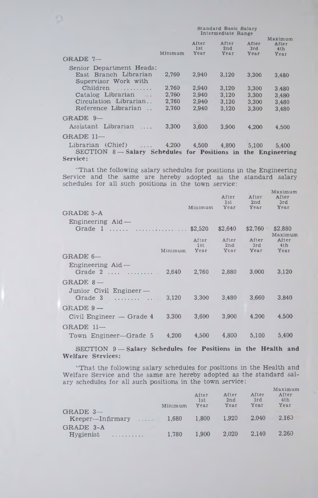|                                                               | Standard Basic Salary<br>Intermediate Range |                      |                      |                      |                                 |
|---------------------------------------------------------------|---------------------------------------------|----------------------|----------------------|----------------------|---------------------------------|
|                                                               | Minimum                                     | After<br>1st<br>Year | After<br>2nd<br>Year | After<br>3rd<br>Year | Maximum<br>After<br>4th<br>Year |
| GRADE 7-                                                      |                                             |                      |                      |                      |                                 |
| Senior Department Heads:                                      |                                             |                      |                      |                      |                                 |
| East Branch Librarian                                         | 2.760                                       | 2,940                | 3.120                | 3.300                | 3.480                           |
| Supervisor Work with                                          |                                             |                      |                      |                      |                                 |
| Children<br>.                                                 | 2.760                                       | 2.940                | 3.120                | 3,300                | 3.480                           |
| Catalog Librarian                                             | 2.760                                       | 2,940                | 3,120                | 3.300                | 3.480                           |
| Circulation Librarian                                         | 2,760                                       | 2.940                | 3.120                | 3,300                | 3.480                           |
| Reference Librarian                                           | 2.760                                       | 2,940                | 3,120                | 3.300                | 3.480                           |
| $GRADE$ 9-                                                    |                                             |                      |                      |                      |                                 |
| Assistant Librarian                                           | 3.300                                       | 3.600                | 3.900                | 4.200                | 4.500                           |
| GRADE 11-                                                     |                                             |                      |                      |                      |                                 |
| Librarian (Chief)<br><b>Contract Contract</b>                 | 4,200                                       |                      | 4,500 4,800          | 5,100                | 5,400                           |
| SECTION 8 - Salary Schedules for Positions in the Engineering |                                             |                      |                      |                      |                                 |
| Service:                                                      |                                             |                      |                      |                      |                                 |

n

• That the following salary schedules for positions in the Engineering Service and the same are hereby adopted as the standard salary schedules for all such positions in the town service:

| GRADE 5-A                                     | Minimum      | After<br>1st<br>Year       | After<br>2nd<br>Year | Maximum<br>After<br>3rd<br>Year   |
|-----------------------------------------------|--------------|----------------------------|----------------------|-----------------------------------|
| Engineering $Aid$ —<br>Grade 1   \$2,520      |              | \$2,640                    | $$2,760$ $$2,880$    | Maximum                           |
| Minimum                                       | 1st<br>Year  | After After<br>2nd<br>Year | After<br>3rd<br>Year | After<br>4 <sup>t</sup> h<br>Year |
| $GRADE 6-$                                    |              |                            |                      |                                   |
| Engineering $A$ id —<br>Grade 2   2,640 2,760 |              | 2,880                      | 3,000                | 3,120                             |
| GRADE $8-$                                    |              |                            |                      |                                   |
| Junior Civil Engineer —<br>Grade 3   3,120    | <b>3.300</b> | 3.480                      | 3,660                | 3,840                             |
| $GRADE 9 -$                                   |              |                            |                      |                                   |
| $Civil$ Engineer $-$ Grade 4<br>3.300         | 3,600        | 3,900                      | 4.200                | 4.500                             |
| $GRADE$ 11-                                   |              |                            |                      |                                   |
| Town Engineer—Grade 5 4,200                   |              | 4,500 4,800                | 5,100                | 5,400                             |

SECTION 9-Salary Schedules for Positions in the Health and Welfare Services:

"That the following salary schedules for positions in the Health and Welfare Service and the same are hereby adopted as the standard salary schedules for all such positions in the town service:

|                                             | Minimum | After<br>1st<br>Year | After<br>2nd<br>Year | After<br>3rd<br>Year | Maximum<br>After<br>4 <sub>th</sub><br>Year |
|---------------------------------------------|---------|----------------------|----------------------|----------------------|---------------------------------------------|
| GRADE $3-$<br>$Keeper$ --Infirmary $\ldots$ | 1,680   | 1.800                | 1.920                | 2.040                | 2.163                                       |
| GRADE 3-A<br>$Hv$ gienist                   | 1.780   | 1.900                | 2.020                | 2.140                | 2.260                                       |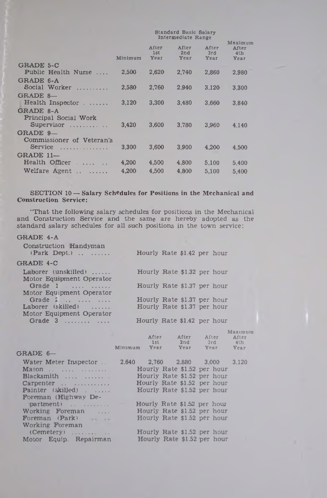|                                           | Standard Basic Salary<br>Intermediate Range |                      |                      |                      |                                                    |
|-------------------------------------------|---------------------------------------------|----------------------|----------------------|----------------------|----------------------------------------------------|
|                                           | Minimum                                     | After<br>1st<br>Year | After<br>2nd<br>Year | After<br>3rd<br>Year | Maximum<br>After<br>4 <sub>th</sub><br><b>Уеаг</b> |
| GRADE 5-C<br>Public Health Nurse          | 2.500                                       | 2,620                | 2.740                | 2.860                | 2,980                                              |
| GRADE 6-A<br>Social Worker                | 2.580                                       | 2.760                | 2.940                | 3.120                | 3.300                                              |
| GRADE 8-<br>Health Inspector              | 3.120                                       | 3.300                | 3.480                | 3.660                | 3.840                                              |
| GRADE 8-A<br><b>Principal Social Work</b> |                                             |                      |                      |                      |                                                    |
| Supervisor<br>GRADE 9-                    | 3.420                                       | 3,600                | 3.780                | 3.960                | 4.140                                              |
| Commissioner of Veteran's<br>Service<br>. | 3.300                                       | 3.600                | 3.900                | 4.200                | 4.500                                              |
| GRADE 11-<br>Health Officer               | 4,200                                       | 4,500                | 4,800                | 5.100                | 5,400                                              |
| Welfare Agent<br>$-1.1.1.1.1$             | 4.200                                       | 4,500                | 4.800                | 5.100                | 5,400                                              |

**SECTION 10 — Salary Schedules for Positions in the Mechanical and Construction Service:**

"That the following salary schedules for positions in the Mechanical and Construction Service and the same are hereby adopted as the standard salary schedules for all such positions in the town service:

### GRADE 4-A

| Construction Handyman<br>$(Park \tDepth)$          | Hourly Rate \$1.42 per hour |  |         |
|----------------------------------------------------|-----------------------------|--|---------|
| GRADE 4-C                                          |                             |  |         |
| Laborer (unskilled)                                | Hourly Rate \$1.32 per hour |  |         |
| Motor Equipment Operator                           |                             |  |         |
|                                                    | Hourly Rate \$1.37 per hour |  |         |
| Motor Equipment Operator<br>Grade $\sum_{i=1}^{n}$ |                             |  |         |
|                                                    | Hourly Rate \$1.37 per hour |  |         |
| $Laborer$ (skilled) $\ldots$                       | Hourly Rate \$1.37 per hour |  |         |
| Motor Equipment Operator                           |                             |  |         |
| Grade $3$                                          | Hourly Rate \$1.42 per hour |  |         |
|                                                    |                             |  | Maximum |
|                                                    | After After After           |  | After   |

|                                                                                                               | 1st | 2nd | 3rd<br>Minimum Year Year Year Year                                                                                                                        | 4th |
|---------------------------------------------------------------------------------------------------------------|-----|-----|-----------------------------------------------------------------------------------------------------------------------------------------------------------|-----|
| GRADE 6-                                                                                                      |     |     |                                                                                                                                                           |     |
| Water Meter Inspector<br>Blacksmith<br>Carpenter<br>Painter (skilled)<br>Foreman (Highway De-                 |     |     | 2.640 2.760 2.880 3.000 3.120<br>Hourly Rate \$1.52 per hour<br>Hourly Rate \$1.52 per hour<br>Hourly Rate \$1.52 per hour<br>Hourly Rate \$1.52 per hour |     |
| partment)<br>Working Foreman<br>Foreman $(Park)$<br>Working Foreman<br>$(Cemetery)$<br>Motor Equip. Repairman |     |     | Hourly Rate \$1.52 per hour<br>Hourly Rate \$1.52 per hour<br>Hourly Rate \$1.52 per hour<br>Hourly Rate \$1.52 per hour<br>Hourly Rate \$1.52 per hour   |     |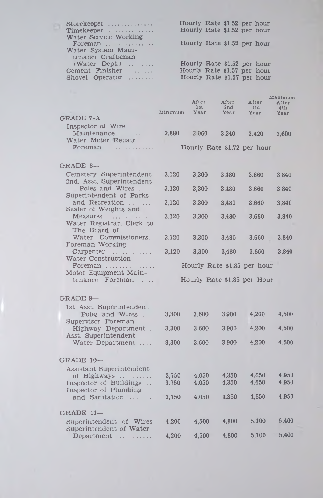| Hourly Rate \$1.52 per hour |
|-----------------------------|
| Hourly Rate \$1.52 per hour |
|                             |
| Hourly Rate \$1.52 per hour |
|                             |
|                             |
| Hourly Rate \$1.52 per hour |
| Hourly Rate \$1.57 per hour |
| Hourly Rate \$1.57 per hour |
|                             |

| GRADE 7-A                         | Minimum | After<br>1st<br>Year | After<br>2nd<br>Year        | After<br>3rd<br>Year | Maximum<br>After<br>4 <sub>th</sub><br>Year |
|-----------------------------------|---------|----------------------|-----------------------------|----------------------|---------------------------------------------|
| Inspector of Wire                 |         |                      |                             |                      |                                             |
| Maintenance<br>Water Meter Repair | 2.880   | 3.060                | 3.240                       | 3.420                | 3.600                                       |
| Foreman $\dots\dots\dots\dots$    |         |                      | Hourly Rate \$1.72 per hour |                      |                                             |

| GRADE 8-                                                                 |       |       |                             |       |       |
|--------------------------------------------------------------------------|-------|-------|-----------------------------|-------|-------|
| Cemetery Superintendent                                                  | 3.120 | 3.300 | 3.480                       | 3.660 | 3,840 |
| 2nd. Asst. Superintendent<br>-Poles and Wires<br>Superintendent of Parks | 3,120 | 3.300 | 3.480                       | 3.660 | 3.840 |
| and Recreation<br>Sealer of Weights and                                  | 3.120 | 3.300 | 3.480                       | 3.660 | 3.840 |
| Measures                                                                 | 3.120 | 3.300 | 3,480                       | 3,660 | 3.840 |
| Water Registrar, Clerk to<br>The Board of                                |       |       |                             |       |       |
| Water Commissioners.<br>Foreman Working                                  | 3.120 | 3.300 | 3.480                       | 3.660 | 3.840 |
| Carpenter                                                                | 3.120 | 3.300 | 3.480                       | 3.660 | 3.840 |
| Water Construction<br>Foreman                                            |       |       | Hourly Rate \$1.85 per hour |       |       |
| Motor Equipment Main-                                                    |       |       |                             |       |       |
| tenance Foreman<br>1.111                                                 |       |       | Hourly Rate \$1.85 per Hour |       |       |

# GRADE 9— 1st Asst. Superintendent — Poles and Wires ... 3,300 3,600 3.900 4,200 4,500 Supervisor Foreman Highway Department . 3,300 3,600 3,900 4,200 4,500 Asst. Superintendent Water Department .... 3,300 3,600 3,900 4,200 4,500 GRADE  $10-$ Assistant Superintendent of Highways................ 3,750 4,050 4,350 4.650 4,950 Inspector of Buildings ... Inspector of Plumbing and Sanitation ....... 3,750 4,050 4,350 4,650 4,950 GRADE  $11-$ Superintendent of Wires 4,200 4,500 4,800 5.100 5,400 Superintendent of Water Department ................ 4,200 4,500 4.800 5,100 5,400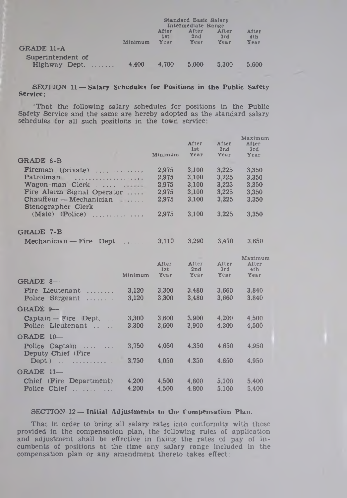|                                 | Standard Basic Salary<br>Intermediate Range |                      |                      |                      |                                  |
|---------------------------------|---------------------------------------------|----------------------|----------------------|----------------------|----------------------------------|
|                                 | Minimum                                     | After<br>1st<br>Year | After<br>2nd<br>Year | After<br>3rd<br>Year | After<br>4 <sub>th</sub><br>Year |
| GRADE 11-A<br>Superintendent of |                                             |                      |                      |                      |                                  |
| Highway Dept.<br>1.1.1.1.1.1.1  | 4.400                                       | 4.700                | 5.000                | 5.300                | 5.600                            |

**SECTION 11 — Salary Schedules for Positions in the Public Safety Service:**

"That the following salary schedules for positions in the Public Safety Service and the same are hereby adopted as the standard salary schedules for all such positions in the town service:

|                                                                                                                                                                                                                                                                                                                                                                                                                                                                                                                    |         |                    | After<br>1st       | After<br>2nd | Maximum<br>After<br>3rd |
|--------------------------------------------------------------------------------------------------------------------------------------------------------------------------------------------------------------------------------------------------------------------------------------------------------------------------------------------------------------------------------------------------------------------------------------------------------------------------------------------------------------------|---------|--------------------|--------------------|--------------|-------------------------|
| <b>GRADE 6-B</b>                                                                                                                                                                                                                                                                                                                                                                                                                                                                                                   |         | Minimum            | Year               | Year         | Year                    |
| Fireman (private) $\dots\dots\dots\dots$                                                                                                                                                                                                                                                                                                                                                                                                                                                                           |         | 2,975              | 3,100              | 3.225        | 3,350                   |
| Patrolman                                                                                                                                                                                                                                                                                                                                                                                                                                                                                                          |         | 2,975              | 3,100              | 3,225        | 3,350                   |
| Wagon-man Cierk                                                                                                                                                                                                                                                                                                                                                                                                                                                                                                    |         | 2,975              | 3,100              | 3,225        | 3,350                   |
| Fire Alarm Signal Operator                                                                                                                                                                                                                                                                                                                                                                                                                                                                                         |         | 2,975              | 3.100              | 3,225        | 3.350                   |
| $Chauffeur - Mechanician$<br>Stenographer Clerk                                                                                                                                                                                                                                                                                                                                                                                                                                                                    |         | 2,975              | 3.100              | 3,225        | 3.350                   |
| (Male) (Police)<br>.                                                                                                                                                                                                                                                                                                                                                                                                                                                                                               |         | 2,975              | 3,100              | 3,225        | 3,350                   |
| GRADE 7-B                                                                                                                                                                                                                                                                                                                                                                                                                                                                                                          |         |                    |                    |              |                         |
| Mechanician - Fire<br>Dept.                                                                                                                                                                                                                                                                                                                                                                                                                                                                                        | .       | 3,110              | 3,290              | 3,470        | 3,650                   |
|                                                                                                                                                                                                                                                                                                                                                                                                                                                                                                                    |         |                    |                    |              | Maximum                 |
|                                                                                                                                                                                                                                                                                                                                                                                                                                                                                                                    |         | After              | After              | After        | After                   |
|                                                                                                                                                                                                                                                                                                                                                                                                                                                                                                                    | Minimum | 1st<br><b>Year</b> | 2nd<br><b>Year</b> | 3rd<br>Year  | 4th<br>Year             |
| GRADE 8-                                                                                                                                                                                                                                                                                                                                                                                                                                                                                                           |         |                    |                    |              |                         |
| Fire Lieutenant<br>.                                                                                                                                                                                                                                                                                                                                                                                                                                                                                               | 3,120   | 3,300              | 3.480              | 3,660        | 3.840                   |
| Police Sergeant<br>.                                                                                                                                                                                                                                                                                                                                                                                                                                                                                               | 3.120   | 3.300              | 3.480              | 3.660        | 3.840                   |
| GRADE 9-                                                                                                                                                                                                                                                                                                                                                                                                                                                                                                           |         |                    |                    |              |                         |
| $\text{Captain} - \text{Fire}$ Dept.<br>$\ddot{\phantom{a}}$                                                                                                                                                                                                                                                                                                                                                                                                                                                       | 3,300   | 3,600              | 3.900              | 4,200        | 4.500                   |
| Police Lieutenant                                                                                                                                                                                                                                                                                                                                                                                                                                                                                                  | 3.300   | 3,600              | 3,900              | 4.200        | 4,500                   |
| GRADE 10-                                                                                                                                                                                                                                                                                                                                                                                                                                                                                                          |         |                    |                    |              |                         |
| Police<br>Captain                                                                                                                                                                                                                                                                                                                                                                                                                                                                                                  | 3,750   | 4,050              | 4.350              | 4.650        | 4.950                   |
| Deputy Chief (Fire                                                                                                                                                                                                                                                                                                                                                                                                                                                                                                 |         |                    |                    |              |                         |
| Dept.)<br>$\mathbf{A}$<br>$\begin{array}{cccccccccccccc} \multicolumn{2}{c} & \multicolumn{2}{c} & \multicolumn{2}{c} & \multicolumn{2}{c} & \multicolumn{2}{c} & \multicolumn{2}{c} & \multicolumn{2}{c} & \multicolumn{2}{c} & \multicolumn{2}{c} & \multicolumn{2}{c} & \multicolumn{2}{c} & \multicolumn{2}{c} & \multicolumn{2}{c} & \multicolumn{2}{c} & \multicolumn{2}{c} & \multicolumn{2}{c} & \multicolumn{2}{c} & \multicolumn{2}{c} & \multicolumn{2}{c} & \multicolumn{2}{c} & \multicolumn{2}{c} &$ | 3.750   | 4,050              | 4.350              | 4,650        | 4.950                   |
| GRADE 11-                                                                                                                                                                                                                                                                                                                                                                                                                                                                                                          |         |                    |                    |              |                         |
| (Fire Department)<br>Chief                                                                                                                                                                                                                                                                                                                                                                                                                                                                                         | 4,200   | 4,500              | 4,800              | 5,100        | 5,400                   |
| Police Chief<br>$\label{eq:1} \begin{array}{lllllllllllllllll} \hspace{-3mm} \textbf{a} & \textbf{a} & \textbf{a} & \textbf{a} & \textbf{a} & \textbf{a} & \textbf{a} \\ \hline \hspace{0.08cm} \textbf{a} & \textbf{a} & \textbf{a} & \textbf{a} & \textbf{a} & \textbf{a} & \textbf{a} & \textbf{a} \\ \end{array}$                                                                                                                                                                                              | 4.200   | 4.500              | 4.800              | 5.100        | 5.400                   |

## SECTION 12 — Initial Adjustments to the Compensation Plan.

That in order to bring all salary rates into conformity with those provided in the compensation plan, the following rules of application and adjustment shall be effective in fixing the rates of pay of incumbents of positions at the time any salary range included in the compensation plan or any amendment thereto takes effect: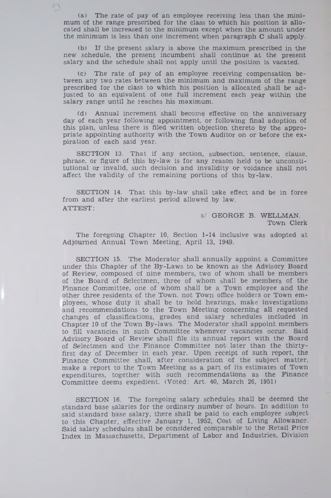(a) The rate of pay of an employee receiving less than the minimum of the range prescribed for the class to which his position is allocated shall be increased to the minimum except when the amount under the minimum is less than one increment when paragraph C shall apply.

n

(b) If the present salary is above the maximum prescribed in the new schedule, the present incumbent shall continue at the present salary and the schedule shall not apply until the position is vacated.

(c) The rate of pay of an employee receiving compensation between any two rates between the minimum and maximum of the range prescribed for the class to which his position is allocated shall be adjusted to an equivalent of one full increment each year within the salary range until he reaches his maximum.

(d) Annual increment shall become effective on the anniversary day of each year following appointment, or following final adoption of this plan, unless there is filed written objection thereto by the appropriate appointing authority with the Town Auditor on or before the expiration of each said year.

SECTION 13. That if any section, subsection, sentence, clause, phrase, or figure of this by-law is for any reason held to be unconstitutional or invalid, such decision and invalidity or voidance shall not affect the validity of the remaining portions of this by-law.

SECTION 14. That this by-law shall take effect and be in force from and after the earliest period allowed by law. ATTEST:

> S/ GEORGE B. WELLMAN. Town Clerk

The foregoing Chapter 10, Section 1-14 inclusive was adopted at Adjourned Annual Town Meeting, April 13, 1949.

SECTION 15. The Moderator shall annually appoint a Committee under this Chapter of the By-Laws to be known as the Advisory Board of Review, composed of nine members, two of whom shall be members of the Board of Selectmen, three of whom shall be members of the Finance Committee, one of whom shall be a Town employee and the other three residents of the Town, not Town office holders or Town employees, whose duty it shall be to hold hearings, make investigations and recommendations to the Town Meeting concerning all requested changes of classifications, grades and salary schedules included in Chapter 10 of the Town By-laws. The Moderator shall appoint members to fill vacancies in such Committee whenever vacancies occur. Said Advisory Board of Review shall file its annual report with the Board of Selectmen and the Finance Committee not later than the thirtyfirst day of December in each year. Upon receipt of such report, the Finance Committee shall, after consideration of the subject matter, make a report to the Town Meeting as a part of its estimates of Town expenditures, together with such recommendations as the Finance Committee deems expedient. (Voted: Art. 40, March 26, 1951)

SECTION 16. The foregoing salary schedules shall be deemed the standard base salaries for the ordinary number of hours. In addition to said standard base salary, there shall be paid to each employee subject to this Chapter, effective January 1, 1952, Cost of Living Allowance. Said salary schedules shall be considered comparable to the Retail Price Index in Massachusetts, Department of Labor and Industries, Division